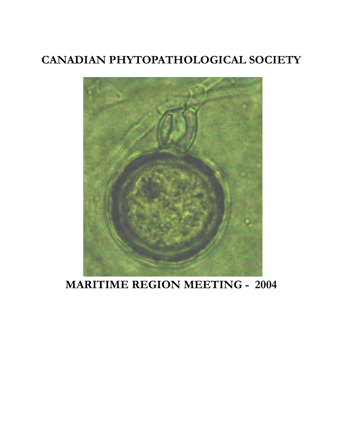# **CANADIAN PHYTOPATHOLOGICAL SOCIETY**



# **MARITIME REGION MEETING - 2004**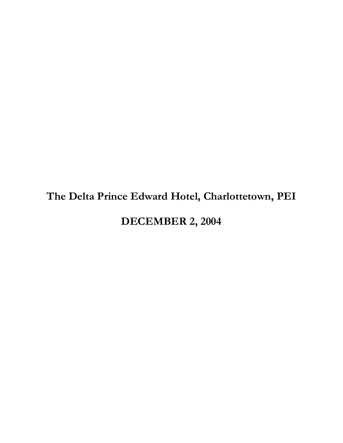# **The Delta Prince Edward Hotel, Charlottetown, PEI**

## **DECEMBER 2, 2004**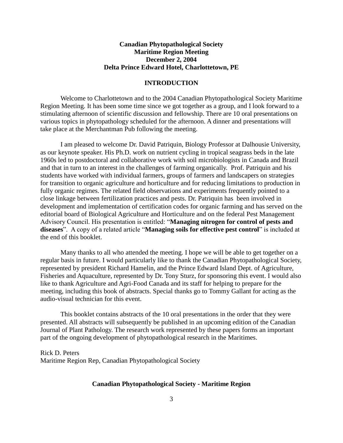#### **Canadian Phytopathological Society Maritime Region Meeting December 2, 2004 Delta Prince Edward Hotel, Charlottetown, PE**

#### **INTRODUCTION**

Welcome to Charlottetown and to the 2004 Canadian Phytopathological Society Maritime Region Meeting. It has been some time since we got together as a group, and I look forward to a stimulating afternoon of scientific discussion and fellowship. There are 10 oral presentations on various topics in phytopathology scheduled for the afternoon. A dinner and presentations will take place at the Merchantman Pub following the meeting.

I am pleased to welcome Dr. David Patriquin, Biology Professor at Dalhousie University, as our keynote speaker. His Ph.D. work on nutrient cycling in tropical seagrass beds in the late 1960s led to postdoctoral and collaborative work with soil microbiologists in Canada and Brazil and that in turn to an interest in the challenges of farming organically. Prof. Patriquin and his students have worked with individual farmers, groups of farmers and landscapers on strategies for transition to organic agriculture and horticulture and for reducing limitations to production in fully organic regimes. The related field observations and experiments frequently pointed to a close linkage between fertilization practices and pests. Dr. Patriquin has been involved in development and implementation of certification codes for organic farming and has served on the editorial board of Biological Agriculture and Horticulture and on the federal Pest Management Advisory Council. His presentation is entitled: "**Managing nitrogen for control of pests and diseases**". A copy of a related article "**Managing soils for effective pest control**" is included at the end of this booklet.

Many thanks to all who attended the meeting. I hope we will be able to get together on a regular basis in future. I would particularly like to thank the Canadian Phytopathological Society, represented by president Richard Hamelin, and the Prince Edward Island Dept. of Agriculture, Fisheries and Aquaculture, represented by Dr. Tony Sturz, for sponsoring this event. I would also like to thank Agriculture and Agri-Food Canada and its staff for helping to prepare for the meeting, including this book of abstracts. Special thanks go to Tommy Gallant for acting as the audio-visual technician for this event.

This booklet contains abstracts of the 10 oral presentations in the order that they were presented. All abstracts will subsequently be published in an upcoming edition of the Canadian Journal of Plant Pathology. The research work represented by these papers forms an important part of the ongoing development of phytopathological research in the Maritimes.

Rick D. Peters Maritime Region Rep, Canadian Phytopathological Society

#### **Canadian Phytopathological Society - Maritime Region**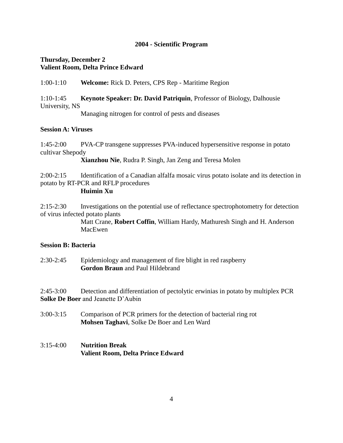#### **2004 - Scientific Program**

#### **Thursday, December 2 Valient Room, Delta Prince Edward**

1:00-1:10 **Welcome:** Rick D. Peters, CPS Rep - Maritime Region

### 1:10-1:45 **Keynote Speaker: Dr. David Patriquin**, Professor of Biology, Dalhousie University, NS

Managing nitrogen for control of pests and diseases

#### **Session A: Viruses**

1:45-2:00 PVA-CP transgene suppresses PVA-induced hypersensitive response in potato cultivar Shepody

**Xianzhou Nie**, Rudra P. Singh, Jan Zeng and Teresa Molen

2:00-2:15 Identification of a Canadian alfalfa mosaic virus potato isolate and its detection in potato by RT-PCR and RFLP procedures

#### **Huimin Xu**

2:15-2:30 Investigations on the potential use of reflectance spectrophotometry for detection of virus infected potato plants

> Matt Crane, **Robert Coffin**, William Hardy, Mathuresh Singh and H. Anderson MacEwen

#### **Session B: Bacteria**

2:30-2:45 Epidemiology and management of fire blight in red raspberry **Gordon Braun** and Paul Hildebrand

2:45-3:00 Detection and differentiation of pectolytic erwinias in potato by multiplex PCR **Solke De Boer** and Jeanette D'Aubin

3:00-3:15 Comparison of PCR primers for the detection of bacterial ring rot **Mohsen Taghavi**, Solke De Boer and Len Ward

### 3:15-4:00 **Nutrition Break Valient Room, Delta Prince Edward**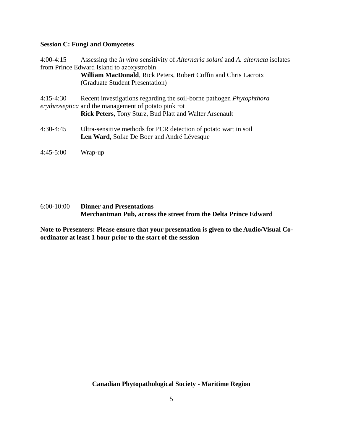#### **Session C: Fungi and Oomycetes**

4:00-4:15 Assessing the *in vitro* sensitivity of *Alternaria solani* and *A. alternata* isolates from Prince Edward Island to azoxystrobin

> **William MacDonald**, Rick Peters, Robert Coffin and Chris Lacroix (Graduate Student Presentation)

4:15-4:30 Recent investigations regarding the soil-borne pathogen *Phytophthora erythroseptica* and the management of potato pink rot **Rick Peters**, Tony Sturz, Bud Platt and Walter Arsenault

4:30-4:45 Ultra-sensitive methods for PCR detection of potato wart in soil **Len Ward**, Solke De Boer and André Lévesque

4:45-5:00 Wrap-up

#### 6:00-10:00 **Dinner and Presentations Merchantman Pub, across the street from the Delta Prince Edward**

**Note to Presenters: Please ensure that your presentation is given to the Audio/Visual Coordinator at least 1 hour prior to the start of the session**

**Canadian Phytopathological Society - Maritime Region**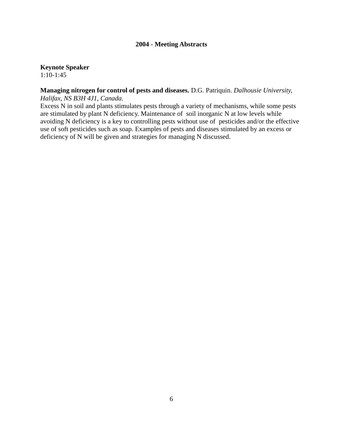#### **2004 - Meeting Abstracts**

**Keynote Speaker**

1:10-1:45

#### **Managing nitrogen for control of pests and diseases.** D.G. Patriquin. *Dalhousie University, Halifax, NS B3H 4J1, Canada.*

Excess N in soil and plants stimulates pests through a variety of mechanisms, while some pests are stimulated by plant N deficiency. Maintenance of soil inorganic N at low levels while avoiding N deficiency is a key to controlling pests without use of pesticides and/or the effective use of soft pesticides such as soap. Examples of pests and diseases stimulated by an excess or deficiency of N will be given and strategies for managing N discussed.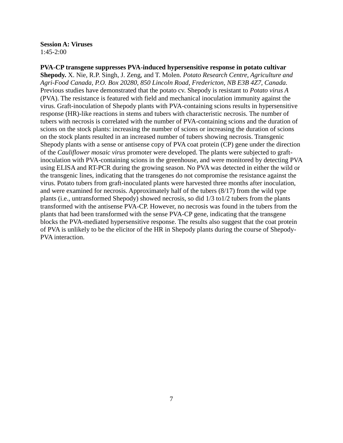**Session A: Viruses** 1:45-2:00

**PVA-CP transgene suppresses PVA-induced hypersensitive response in potato cultivar Shepody.** X. Nie, R.P. Singh, J. Zeng, and T. Molen. *Potato Research Centre, Agriculture and Agri-Food Canada, P.O. Box 20280, 850 Lincoln Road, Fredericton, NB E3B 4Z7, Canada.* Previous studies have demonstrated that the potato cv. Shepody is resistant to *Potato virus A* (PVA). The resistance is featured with field and mechanical inoculation immunity against the virus. Graft-inoculation of Shepody plants with PVA-containing scions results in hypersensitive response (HR)-like reactions in stems and tubers with characteristic necrosis. The number of tubers with necrosis is correlated with the number of PVA-containing scions and the duration of scions on the stock plants: increasing the number of scions or increasing the duration of scions on the stock plants resulted in an increased number of tubers showing necrosis. Transgenic Shepody plants with a sense or antisense copy of PVA coat protein (CP) gene under the direction of the *Cauliflower mosaic virus* promoter were developed. The plants were subjected to graftinoculation with PVA-containing scions in the greenhouse, and were monitored by detecting PVA using ELISA and RT-PCR during the growing season. No PVA was detected in either the wild or the transgenic lines, indicating that the transgenes do not compromise the resistance against the virus. Potato tubers from graft-inoculated plants were harvested three months after inoculation, and were examined for necrosis. Approximately half of the tubers (8/17) from the wild type plants (i.e., untransformed Shepody) showed necrosis, so did 1/3 to1/2 tubers from the plants transformed with the antisense PVA-CP. However, no necrosis was found in the tubers from the plants that had been transformed with the sense PVA-CP gene, indicating that the transgene blocks the PVA-mediated hypersensitive response. The results also suggest that the coat protein of PVA is unlikely to be the elicitor of the HR in Shepody plants during the course of Shepody-PVA interaction.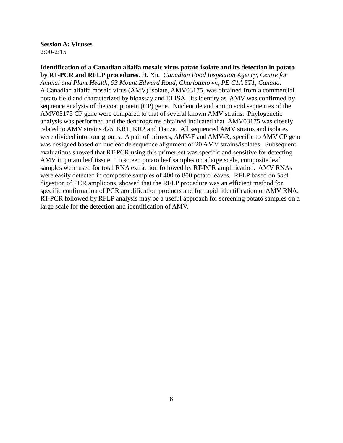**Session A: Viruses** 2:00-2:15

**Identification of a Canadian alfalfa mosaic virus potato isolate and its detection in potato by RT-PCR and RFLP procedures.** H. Xu*. Canadian Food Inspection Agency, Centre for Animal and Plant Health, 93 Mount Edward Road, Charlottetown, PE C1A 5T1, Canada.* A Canadian alfalfa mosaic virus (AMV) isolate, AMV03175, was obtained from a commercial potato field and characterized by bioassay and ELISA. Its identity as AMV was confirmed by sequence analysis of the coat protein (CP) gene. Nucleotide and amino acid sequences of the AMV03175 CP gene were compared to that of several known AMV strains. Phylogenetic analysis was performed and the dendrograms obtained indicated that AMV03175 was closely related to AMV strains 425, KR1, KR2 and Danza. All sequenced AMV strains and isolates were divided into four groups. A pair of primers, AMV-F and AMV-R, specific to AMV CP gene was designed based on nucleotide sequence alignment of 20 AMV strains/isolates. Subsequent evaluations showed that RT-PCR using this primer set was specific and sensitive for detecting AMV in potato leaf tissue. To screen potato leaf samples on a large scale, composite leaf samples were used for total RNA extraction followed by RT-PCR amplification. AMV RNAs were easily detected in composite samples of 400 to 800 potato leaves. RFLP based on *Sac*I digestion of PCR amplicons, showed that the RFLP procedure was an efficient method for specific confirmation of PCR amplification products and for rapid identification of AMV RNA. RT-PCR followed by RFLP analysis may be a useful approach for screening potato samples on a large scale for the detection and identification of AMV.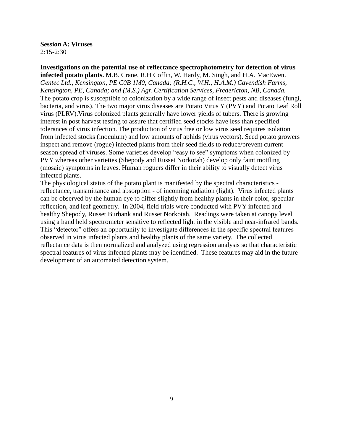**Session A: Viruses**  $2:15-2:30$ 

**Investigations on the potential use of reflectance spectrophotometry for detection of virus infected potato plants.** M.B. Crane, R.H Coffin, W. Hardy, M. Singh, and H.A. MacEwen. *Gentec Ltd., Kensington, PE C0B 1M0, Canada; (R.H.C., W.H., H.A.M.) Cavendish Farms, Kensington, PE, Canada; and (M.S.) Agr. Certification Services, Fredericton, NB, Canada.* The potato crop is susceptible to colonization by a wide range of insect pests and diseases (fungi, bacteria, and virus). The two major virus diseases are Potato Virus Y (PVY) and Potato Leaf Roll virus (PLRV).Virus colonized plants generally have lower yields of tubers. There is growing interest in post harvest testing to assure that certified seed stocks have less than specified tolerances of virus infection. The production of virus free or low virus seed requires isolation from infected stocks (inoculum) and low amounts of aphids (virus vectors). Seed potato growers inspect and remove (rogue) infected plants from their seed fields to reduce/prevent current season spread of viruses. Some varieties develop "easy to see" symptoms when colonized by PVY whereas other varieties (Shepody and Russet Norkotah) develop only faint mottling (mosaic) symptoms in leaves. Human roguers differ in their ability to visually detect virus infected plants.

The physiological status of the potato plant is manifested by the spectral characteristics reflectance, transmittance and absorption - of incoming radiation (light). Virus infected plants can be observed by the human eye to differ slightly from healthy plants in their color, specular reflection, and leaf geometry. In 2004, field trials were conducted with PVY infected and healthy Shepody, Russet Burbank and Russet Norkotah. Readings were taken at canopy level using a hand held spectrometer sensitive to reflected light in the visible and near-infrared bands. This "detector" offers an opportunity to investigate differences in the specific spectral features observed in virus infected plants and healthy plants of the same variety. The collected reflectance data is then normalized and analyzed using regression analysis so that characteristic spectral features of virus infected plants may be identified. These features may aid in the future development of an automated detection system.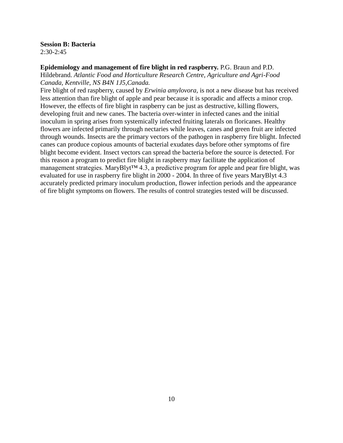### **Session B: Bacteria**

2:30-2:45

#### **Epidemiology and management of fire blight in red raspberry.** P.G. Braun and P.D.

Hildebrand. *Atlantic Food and Horticulture Research Centre, Agriculture and Agri-Food Canada, Kentville, NS B4N 1J5,Canada.*

Fire blight of red raspberry, caused by *Erwinia amylovora,* is not a new disease but has received less attention than fire blight of apple and pear because it is sporadic and affects a minor crop. However, the effects of fire blight in raspberry can be just as destructive, killing flowers, developing fruit and new canes. The bacteria over-winter in infected canes and the initial inoculum in spring arises from systemically infected fruiting laterals on floricanes. Healthy flowers are infected primarily through nectaries while leaves, canes and green fruit are infected through wounds. Insects are the primary vectors of the pathogen in raspberry fire blight. Infected canes can produce copious amounts of bacterial exudates days before other symptoms of fire blight become evident. Insect vectors can spread the bacteria before the source is detected. For this reason a program to predict fire blight in raspberry may facilitate the application of management strategies. MaryBlyt™ 4.3, a predictive program for apple and pear fire blight, was evaluated for use in raspberry fire blight in 2000 - 2004. In three of five years MaryBlyt 4.3 accurately predicted primary inoculum production, flower infection periods and the appearance of fire blight symptoms on flowers. The results of control strategies tested will be discussed.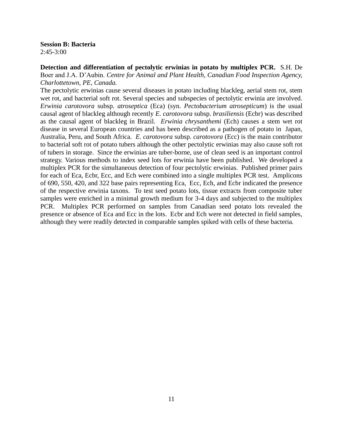**Session B: Bacteria**  $2:45-3:00$ 

**Detection and differentiation of pectolytic erwinias in potato by multiplex PCR.** S.H. De Boer and J.A. D'Aubin. *Centre for Animal and Plant Health, Canadian Food Inspection Agency, Charlottetown, PE, Canada.*

The pectolytic erwinias cause several diseases in potato including blackleg, aerial stem rot, stem wet rot, and bacterial soft rot. Several species and subspecies of pectolytic erwinia are involved. *Erwinia carotovora* subsp. *atroseptica* (Eca) (syn. *Pectobacterium atrosepticum*) is the usual causal agent of blackleg although recently *E*. *carotovora* subsp. *brasiliensis* (Ecbr) was described as the causal agent of blackleg in Brazil. *Erwinia chrysanthemi* (Ech) causes a stem wet rot disease in several European countries and has been described as a pathogen of potato in Japan, Australia, Peru, and South Africa. *E. carotovora* subsp. *carotovora* (Ecc) is the main contributor to bacterial soft rot of potato tubers although the other pectolytic erwinias may also cause soft rot of tubers in storage. Since the erwinias are tuber-borne, use of clean seed is an important control strategy. Various methods to index seed lots for erwinia have been published. We developed a multiplex PCR for the simultaneous detection of four pectolytic erwinias. Published primer pairs for each of Eca, Ecbr, Ecc, and Ech were combined into a single multiplex PCR test. Amplicons of 690, 550, 420, and 322 base pairs representing Eca, Ecc, Ech, and Ecbr indicated the presence of the respective erwinia taxons. To test seed potato lots, tissue extracts from composite tuber samples were enriched in a minimal growth medium for 3-4 days and subjected to the multiplex PCR. Multiplex PCR performed on samples from Canadian seed potato lots revealed the presence or absence of Eca and Ecc in the lots. Ecbr and Ech were not detected in field samples, although they were readily detected in comparable samples spiked with cells of these bacteria.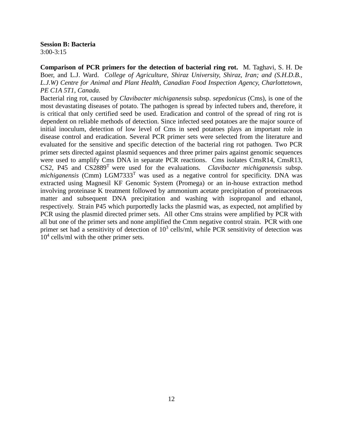**Session B: Bacteria** 3:00-3:15

**Comparison of PCR primers for the detection of bacterial ring rot.** M. Taghavi, S. H. De Boer, and L.J. Ward. *College of Agriculture, Shiraz University, Shiraz, Iran; and (S.H.D.B., L.J.W) Centre for Animal and Plant Health, Canadian Food Inspection Agency, Charlottetown, PE C1A 5T1, Canada.*

Bacterial ring rot, caused by *Clavibacter michiganensis* subsp. *sepedonicus* (Cms), is one of the most devastating diseases of potato. The pathogen is spread by infected tubers and, therefore, it is critical that only certified seed be used. Eradication and control of the spread of ring rot is dependent on reliable methods of detection. Since infected seed potatoes are the major source of initial inoculum, detection of low level of Cms in seed potatoes plays an important role in disease control and eradication. Several PCR primer sets were selected from the literature and evaluated for the sensitive and specific detection of the bacterial ring rot pathogen. Two PCR primer sets directed against plasmid sequences and three primer pairs against genomic sequences were used to amplify Cms DNA in separate PCR reactions. Cms isolates CmsR14, CmsR13, CS2, P45 and  $CS2889<sup>T</sup>$  were used for the evaluations. *Clavibacter michiganensis* subsp. *michiganensis* (Cmm) LGM7333<sup>T</sup> was used as a negative control for specificity. DNA was extracted using Magnesil KF Genomic System (Promega) or an in-house extraction method involving proteinase K treatment followed by ammonium acetate precipitation of proteinaceous matter and subsequent DNA precipitation and washing with isopropanol and ethanol, respectively. Strain P45 which purportedly lacks the plasmid was, as expected, not amplified by PCR using the plasmid directed primer sets. All other Cms strains were amplified by PCR with all but one of the primer sets and none amplified the Cmm negative control strain. PCR with one primer set had a sensitivity of detection of  $10<sup>3</sup>$  cells/ml, while PCR sensitivity of detection was 10<sup>4</sup> cells/ml with the other primer sets.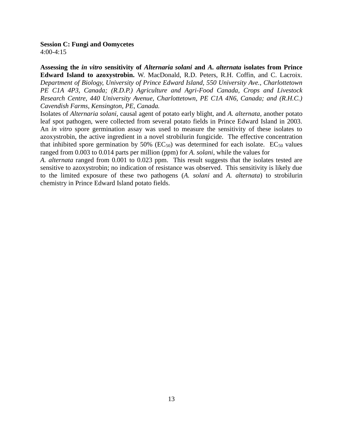**Session C: Fungi and Oomycetes** 4:00-4:15

**Assessing the** *in vitro* **sensitivity of** *Alternaria solani* **and** *A. alternata* **isolates from Prince Edward Island to azoxystrobin.** W. MacDonald, R.D. Peters, R.H. Coffin, and C. Lacroix. *Department of Biology, University of Prince Edward Island, 550 University Ave., Charlottetown PE C1A 4P3, Canada; (R.D.P.) Agriculture and Agri-Food Canada, Crops and Livestock Research Centre, 440 University Avenue, Charlottetown, PE C1A 4N6, Canada; and (R.H.C.) Cavendish Farms, Kensington, PE, Canada.* 

Isolates of *Alternaria solani*, causal agent of potato early blight, and *A. alternata*, another potato leaf spot pathogen, were collected from several potato fields in Prince Edward Island in 2003. An *in vitro* spore germination assay was used to measure the sensitivity of these isolates to azoxystrobin, the active ingredient in a novel strobilurin fungicide. The effective concentration that inhibited spore germination by  $50\%$  (EC<sub>50</sub>) was determined for each isolate. EC<sub>50</sub> values ranged from 0.003 to 0.014 parts per million (ppm) for *A. solani,* while the values for

*A. alternata* ranged from 0.001 to 0.023 ppm. This result suggests that the isolates tested are sensitive to azoxystrobin; no indication of resistance was observed. This sensitivity is likely due to the limited exposure of these two pathogens (*A. solani* and *A. alternata*) to strobilurin chemistry in Prince Edward Island potato fields.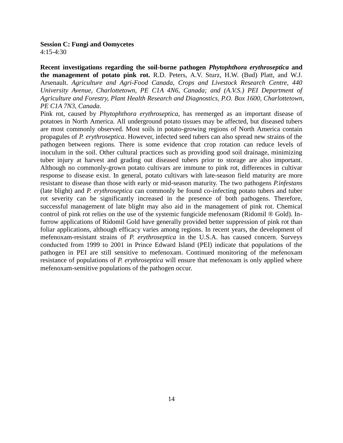#### **Session C: Fungi and Oomycetes** 4:15-4:30

**Recent investigations regarding the soil-borne pathogen** *Phytophthora erythroseptica* **and the management of potato pink rot.** R.D. Peters, A.V. Sturz, H.W. (Bud) Platt, and W.J. Arsenault. *Agriculture and Agri-Food Canada, Crops and Livestock Research Centre, 440 University Avenue, Charlottetown, PE C1A 4N6, Canada; and (A.V.S.) PEI Department of Agriculture and Forestry, Plant Health Research and Diagnostics, P.O. Box 1600, Charlottetown, PE C1A 7N3, Canada.*

Pink rot, caused by *Phytophthora erythroseptica*, has reemerged as an important disease of potatoes in North America. All underground potato tissues may be affected, but diseased tubers are most commonly observed. Most soils in potato-growing regions of North America contain propagules of *P. erythroseptica*. However, infected seed tubers can also spread new strains of the pathogen between regions. There is some evidence that crop rotation can reduce levels of inoculum in the soil. Other cultural practices such as providing good soil drainage, minimizing tuber injury at harvest and grading out diseased tubers prior to storage are also important. Although no commonly-grown potato cultivars are immune to pink rot, differences in cultivar response to disease exist. In general, potato cultivars with late-season field maturity are more resistant to disease than those with early or mid-season maturity. The two pathogens *P.infestans* (late blight) and *P. erythroseptica* can commonly be found co-infecting potato tubers and tuber rot severity can be significantly increased in the presence of both pathogens. Therefore, successful management of late blight may also aid in the management of pink rot. Chemical control of pink rot relies on the use of the systemic fungicide mefenoxam (Ridomil ® Gold). Infurrow applications of Ridomil Gold have generally provided better suppression of pink rot than foliar applications, although efficacy varies among regions. In recent years, the development of mefenoxam-resistant strains of *P. erythroseptica* in the U.S.A. has caused concern. Surveys conducted from 1999 to 2001 in Prince Edward Island (PEI) indicate that populations of the pathogen in PEI are still sensitive to mefenoxam. Continued monitoring of the mefenoxam resistance of populations of *P. erythroseptica* will ensure that mefenoxam is only applied where mefenoxam-sensitive populations of the pathogen occur.